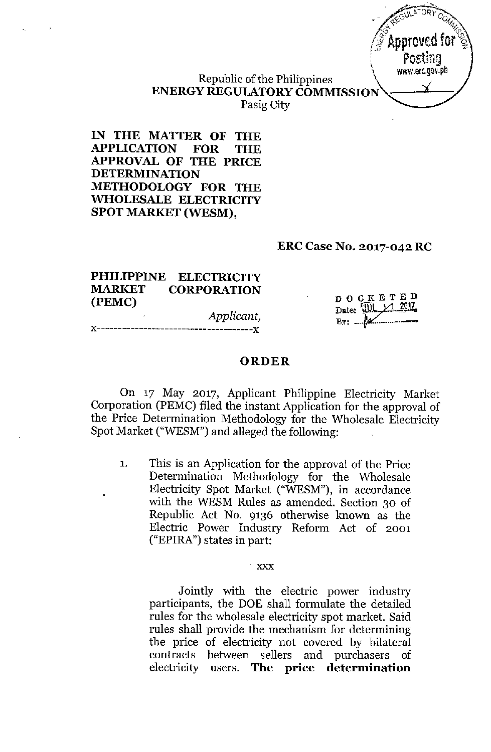

Republic of the Philippines **ENERGY REGULATORY COMMISSION** Pasig City

**IN THE MATTER OF THE APPLICATION FOR THE APPROVAL OF THE PRICE DETERMINATION METHODOLOGY FOR THE WHOLESALE ELECTRICITY SPOT MARKET (WESM),**

#### **ERC Case No. 2017-042 RC**

#### **PHILIPPINE ELECTRICITY MARKET CORPORATION (PEMC)**

*Applicant,* **J{-------------------------------------x**

DOCKETED Date: W. 1 2017  $By:$   $M$ 

#### **ORDER**

On 17 May 2017, Applicant Philippine Electricity Market Corporation (PEMC) filed the instant Application for the approval of the Price Determination Methodology for the Wholesale Electricity Spot Market ("WESM") and alleged the following:

1. This is an Application for the approval of the Price Determination Methodology for the Wholesale Electricity Spot Market ("WESM"), in accordance with the WESM Rules as amended. Section 30 of Republic Act No. 9136 otherwise known as the Electric Power Industry Reform Act of 2001  $("EPIRA")$  states in part:

#### xxx

Jointly with the electric power industry participants, the DOE shall formulate the detailed rules for the wholesale electricity spot market. Said rules shall provide the mechanism for determining the price of electricity not covered by bilateral contracts between sellers and purchasers of electricity users. **The price determination**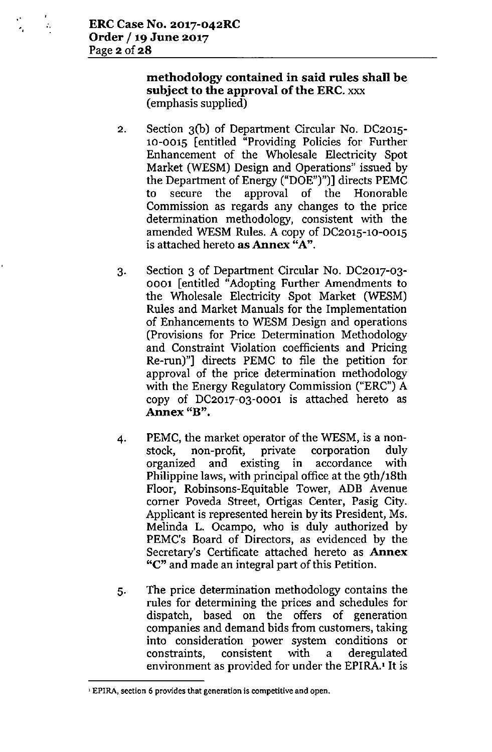## methodology contained in said rules shall be subject to the approval of the ERC. xxx (emphasis supplied)

- 2, Section 3(b) of Department Circular No. DC2015- 10-0015 [entitled "Providing Policies for Further Enhancement of the Wholesale Electricity Spot Market (WESM) Design and Operations" issued by the Department of Energy ("DOE")")] directs PEMC to secure the approval of the Honorable Commission as regards any changes to the price determination methodology, consistent with the amended WESM Rules. A copy of DC2015-10-0015 is attached hereto as Annex "A".
- 3. Section 3 of Department Circular No. DC2017-03- 0001 [entitled "Adopting Further Amendments to the Wholesale Electricity Spot Market (WESM) Rules and Market Manuals for the Implementation of Enhancements to WESM Design and operations (Provisions for Price Determination Methodology and Constraint Violation coefficients and Pricing Re-run)"] directs PEMC to file the petition for approval of the price determination methodology with the Energy Regulatory Commission ("ERC") A copy of DC2017-03-0001 is attached hereto as **Annex "B".**
- 4. PEMC, the market operator of the WESM, is a nonstock, non-profit, private corporation duly organized and existing in accordance with Philippine laws, with principal office at the 9th/18th Floor, Robinsons-Equitable Tower, ADB Avenue corner Poveda Street, Ortigas Center, Pasig City. Applicant is represented herein by its President, Ms. Melinda L. Ocampo, who is duly authorized by PEMC's Board of Directors, as evidenced by the Secretary's Certificate attached hereto as Annex "C" and made an integral part of this Petition.
- 5. The price determination methodology contains the rules for determining the prices and schedules for dispatch, based on the offers of generation companies and demand bids from customers, taking into consideration power system conditions or constraints, consistent with a deregulated environment as provided for under the EPIRA.'It is

<sup>&</sup>lt;sup>1</sup> EPIRA, section 6 provides that generation is competitive and open.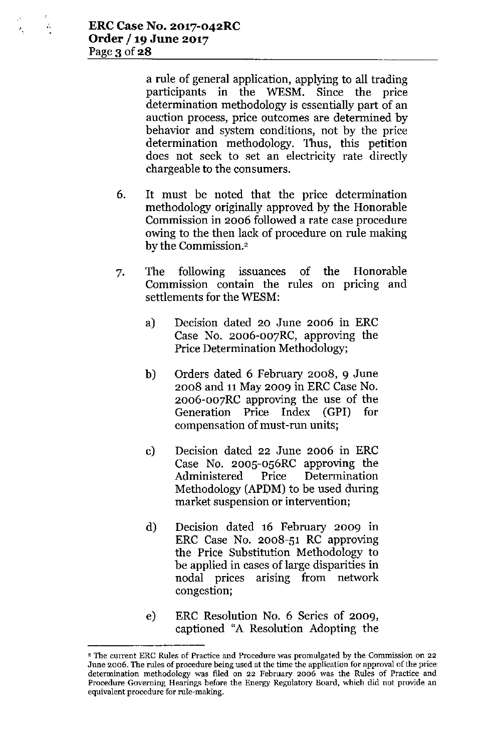ń,

 $\bar{r}_\mathrm{g}$ 

a rule of general application, applying to all trading participants in the WESM. Since the price determination methodology is essentially part of an auction process, price outcomes are determined by behavior and system conditions, not by the price determination methodology. Thus, this petition does not seek to set an electricity rate directly chargeable to the consumers.

- 6. It must be noted that the price determination methodology originally approved by the Honorable Commission in 2006 followed a rate case procedure owing to the then lack of procedure on rule making by the Commission.<sup>2</sup>
- 7. The following issuances of Commission contain the rules on pricing and settlements for the WESM: **Honorable** 
	- a) Decision dated 20 June 2006 in ERC Case No. 2006-007RC, approving the Price Determination Methodology;
	- b) Orders dated 6 February 2008, 9 June 2008 and 11May 2009 in ERC Case No. 2006-007RC approving the use of the Generation Price Index (GPI) for compensation of must-run units;
	- c) Decision dated 22 June 2006 in ERC Case No. 2005-056RC approving the Administered Price Determination Methodology (APDM) to be used during market suspension or intervention;
	- d) Decision dated 16 February 2009 in ERC Case No. 2008-51 RC approving the Price Substitution Methodology to be applied in cases of large disparities in nodal prices arising from network congestion;
	- e) ERC Resolution No. 6 Series of 2009, captioned "A Resolution Adopting the

<sup>2</sup> **The current ERe Rules of Practice and Procedure was promulgated by the Commission on 22 June 2006. The rules of procedure being used at the time the application for approval of the price determination methodology was filed on 22 February 2006 was the Rules of Practice and Procedure Governing Hearings before the Energy Regulatory Board, which did not provide an equivalent procedure for rule-making.**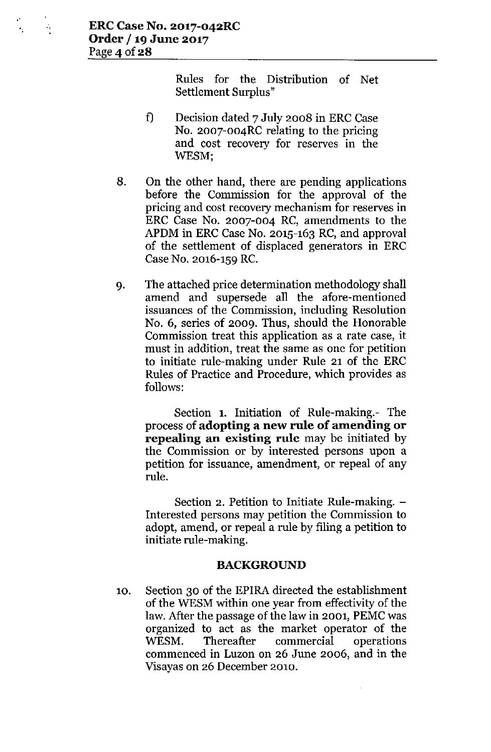Rules for the Distribution of Net Settlement Surplus"

- f) Decision dated 7 July 2008 in ERC Case No. 2007-004RC relating to the pricing and cost recovery for reserves in the WESM',
- 8. On the other hand, there are pending applications before the Commission for the approval of the pricing and cost recovery mechanism for reserves in ERC Case No. 2007-004 RC, amendments to the APDM in ERC Case No. 2015-163 RC, and approval of the settlement of displaced generators in ERC Case No. 2016-159 RC.
- 9. The attached price determination methodology shall amend and supersede all the afore-mentioned issuances of the Commission, including Resolution No.6, series of 2009. Thus, should the Honorable Commission treat this application as a rate case, it must in addition, treat the same as one for petition to initiate rule-making under Rule 21 of the ERC Rules of Practice and Procedure, which provides as follows:

Section 1. Initiation of Rule-making.- The process of **adopting a new rule of amending or repealing an existing rule** may be initiated by the Commission or by interested persons upon a petition for issuance, amendment, or repeal of any rule.

Section 2. Petition to Initiate Rule-making. -Interested persons may petition the Commission to adopt, amend, or repeal a rule by filing a petition to initiate rule-making.

#### **BACKGROUND**

10. Section 30 of the EPIRA directed the establishment of the WESM within one year from effectivity of the law. After the passage of the law in 2001, PEMCwas organized to act as the market operator of the WESM. Thereafter commercial operations commenced in Luzon on 26 June 2006, and in the Visayas on 26 December 2010.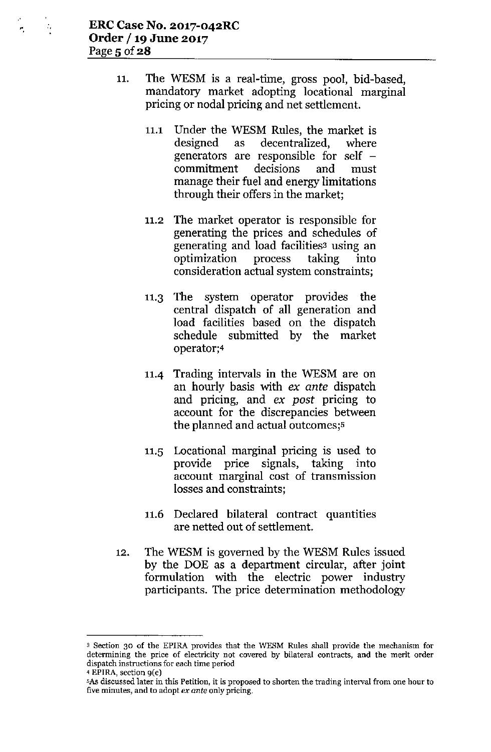"

- 11. The WESM is a real-time, gross pool, bid-based, mandatory market adopting locational marginal pricing or nodal pricing and net settlement.
	- 11.1 Under the WESM Rules, the market is designed as decentralized, where generators are responsible for self  $$ commitment decisions and must manage their fuel and energy limitations through their offers in the market;
	- 11.2 The market operator is responsible for generating the prices and schedules of generating and load facilities<sup>3</sup> using an optimization process taking into consideration actual system constraints;
	- 11.3 The system operator provides the central dispatch of all generation and load facilities based on the dispatch schedule submitted by the market operator;4
	- 11.4 Trading intervals in the WESM are on an hourly basis with ex *ante* dispatch and pricing, and ex *post* pricing to account for the discrepancies between the planned and actual outcomes;'
	- 11.5 Locational marginal pricing is used to provide price signals, taking into account marginal cost of transmission losses and constraints;
	- 11.6 Declared bilateral contract quantities are netted out of settlement.
- 12. The WESM is governed by the WESM Rules issued by the DOE as a department circular, after joint formulation with the electric power industry participants. The price determination methodology

<sup>3</sup> **Section 30 of the EPlRA provides that the WESM Rules shall provide the mechanism for determining the price of electricity not covered by bilateral contracts, and the merit order dispatch instructions for each time period 4 EPIRA, section gee)**

<sup>5</sup>As discussed later in this Petition, it is proposed to shorten the trading interval from one hour to **five minutes, and to adopt** *ex ante* **only pricing.**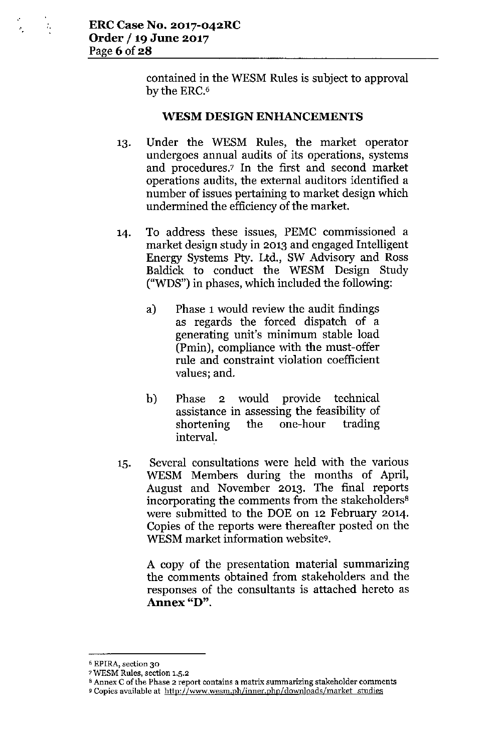$\tilde{P}_1$ 

contained in the WESM Rules is subject to approval by the ERC.<sup>6</sup>

#### WESM DESIGN ENHANCEMENTS

- 13. Under the WESM Rules, the market operator undergoes annual audits of its operations, systems and procedures.<sup>7</sup> In the first and second market operations audits, the external auditors identified a number of issues pertaining to market design which undermined the efficiency of the market.
- 14. To address these issues, PEMC commissioned a market design study in 2013 and engaged Intelligent Energy Systems Pty. Ltd., SW Advisory and Ross Baldick to conduct the WESM Design Study ("WDS") in phases, which included the following:
	- a) Phase 1would review the audit findings as regards the forced dispatch of a generating unit's minimum stable load (Pmin), compliance with the must-offer rule and constraint violation coefficient values; and.
	- b) Phase 2 would provide technical assistance in assessing the feasibility of shortening the one-hour trading interval.
- 15. Several consultations were held with the various WESM Members during the months of April, August and November 2013. The final reports incorporating the comments from the stakeholders<sup>8</sup> were submitted to the DOE on 12 February 2014. Copies of the reports were thereafter posted on the WESM market information website<sup>9</sup>.

A copy of the presentation material summarizing the comments obtained from stakeholders and the responses of the consultants is attached hereto as **Annex "D".**

<sup>6</sup>EPlRA, section 30

<sup>7</sup>WESM Rules, section 1.5.2

<sup>8</sup>Annex C of the Phase 2 report contains a matrix summarizing stakeholder comments

<sup>9</sup> Copies available at <http://www.wesm.ph/inner.php/downloads/market> studies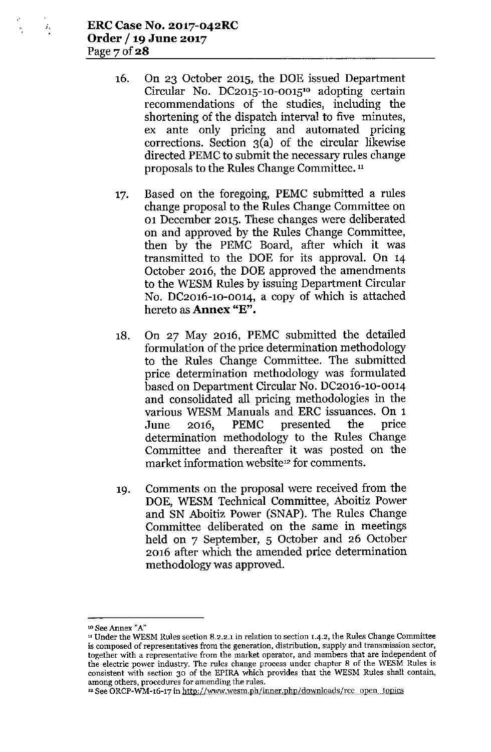- 16. On 23 October 2015, the DOE issued Department Circular No. DC2015-10-0015<sup>10</sup> adopting certain recommendations of the studies, including the shortening of the dispatch interval to five minutes, ex ante only pricing and automated pricing corrections. Section 3(a) of the circular likewise directed PEMC to submit the necessary rules change proposals to the Rules Change Committee. <sup>11</sup>
- 17. Based on the foregoing, PEMC submitted a rules change proposal to the Rules Change Committee on 01 December 2015. These changes were deliberated on and approved by the Rules Change Committee, then by the PEMC Board, after which it was transmitted to the DOE for its approval. On 14 October 2016, the DOE approved the amendments to the WESM Rules by issuing Department Circular No. DC2016-10-0014, a copy of which is attached hereto as **Annex** "E".
- 18. On 27 May 2016, PEMC submitted the detailed formulation of the price determination methodology to the Rules Change Committee. The submitted price determination methodology was formulated based on Department Circular No. DC2016-10-0014 and consolidated all pricing methodologies in the various WESM Manuals and ERC issuances. On 1 June 2016, PEMC presented the price determination methodology to the Rules Change Committee and thereafter it was posted on the market information website<sup>12</sup> for comments.
- 19. Comments on the proposal were received from the DOE, WESM Technical Committee, Aboitiz Power and SN Aboitiz Power (SNAP). The Rules Change Committee deliberated on the same in meetings held on 7 September, 5 October and 26 October 2016 after which the amended price determination methodology was approved.

<sup>10</sup> See Annex *"A"*

<sup>&</sup>lt;sup>11</sup> Under the WESM Rules section 8.2.2.1 in relation to section 1.4.2, the Rules Change Committee is composed of representatives from the generation, distribution, supply and transmission sector, together with a representative from the market operator, and members that are independent of the electric power industry. The rules change process under chapter 8 of the WESM Rules is consistent with section 30 of the EPlRA which provides that the WESM Rules shall contain, among others, procedures for amending the rules.

<sup>&</sup>lt;sup>12</sup> See ORCP-WM-16-17 in http://www.wesm.ph/inner.php/downloads/rcc open topics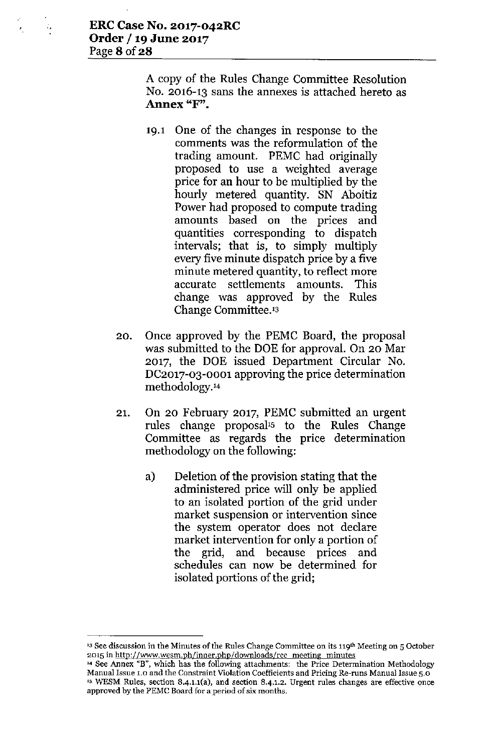÷,

A copy of the Rules Change Committee Resolution No. 2016-13 sans the annexes is attached hereto as **Annex "F".**

- 19.1 One of the changes in response to the comments was the reformulation of the trading amount. PEMC had originally proposed to use a weighted average price for an hour to be multiplied by the hourly metered quantity. SN Aboitiz Power had proposed to compute trading amounts based on the prices and quantities corresponding to dispatch intervals; that is, to simply multiply every five minute dispatch price by a five minute metered quantity, to reflect more accurate settlements amounts. This change was approved by the Rules Change Committee.'3
- 20. Once approved by the PEMC Board, the proposal was submitted to the DOE for approval. On 20 Mar 2017, the DOE issued Department Circular No. DC2017-03-0001 approving the price determination methodology.1<sup>4</sup>
- 21. On 20 February 2017, PEMC submitted an urgent rules change proposal's to the Rules Change Committee as regards the price determination methodology on the following:
	- a) Deletion of the provision stating that the administered price will only be applied to an isolated portion of the grid under market suspension or intervention since the system operator does not declare market intervention for only a portion of the grid, and because prices and schedules can now be determined for isolated portions of the grid;

**<sup>&#</sup>x27;3 See discussion in the Minutes of the Rules Change Committee on its l1gth Meeting on 5 October 2015 in <http://WWVol.wesm.ph/inner.pho/downloads/rcc> meeting minutes**

**<sup>14</sup> See Annex "B", which has the follo-wing attachments: the Price Determination Methodology Manual Issue 1.0 and the Constraint Violation Coefficients and Pricing Re-runs Manual Issue 5.0** IS **WESM Rules, section 8.4.1.1(a), and section 8.4.1.2. Urgent rules changes are effective once approved by the PEMe Board for a period of six months.**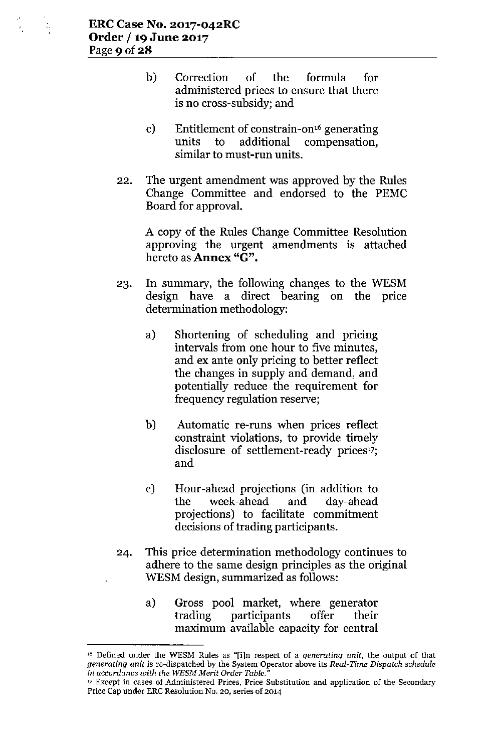ż,

- b) Correction of the formula for administered prices to ensure that there is no cross-subsidy; and
- c) Entitlement of constrain-on'6 generating units to additional compensation, similar to must-run units.
- 22. The urgent amendment was approved by the Rules Change Committee and endorsed to the PEMC Board for approval.

A copy of the Rules Change Committee Resolution approving the urgent amendments is attached hereto as **Annex** "G".

- 23. In summary, the following changes to the WESM design have a direct bearing on the price determination methodology:
	- a) Shortening of scheduling and pricing intervals from one hour to five minutes, and ex ante only pricing to better reflect the changes in supply and demand, and potentially reduce the requirement for frequency regulation reserve;
	- b) Automatic re-runs when prices reflect constraint violations, to provide timely disclosure of settlement-ready prices'7; and
	- c) Hour-ahead projections (in addition to the week-ahead and day-ahead projections) to facilitate commitment decisions of trading participants.
- 24. This price determination methodology continues to adhere to the same design principles as the original WESM design, summarized as follows:
	- a) Gross pool market, where generator trading participants offer their maximum available capacity for central

<sup>16</sup> Defined under the WESM Rules as "[i]n respect of a *generating unit,* the output of that *generating unit* is re-dispatched by the System Operator above its *Real-Time Dispatch schedule in accordance with the WE\$M Merit Order Table."*

<sup>17</sup> Except in cases of Administered Prices, Price Substitution and application of the Secondary Price Cap under ERe Resolution No, *20,* series of 2014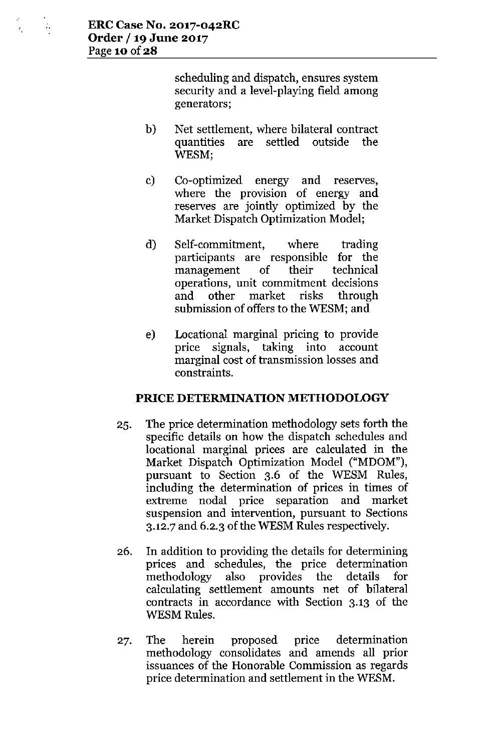$\mathbb{Z}_2$ 

 $\epsilon$ 

scheduling and dispatch, ensures system security and a level-playing field among generators;

- b) Net settlement, where bilateral contract quantities are settled outside the WESM;
- c) Co-optimized energy and reserves, where the provision of energy and reserves are jointly optimized by the Market Dispatch Optimization Model;
- d) Self-commitment, where trading participants are responsible for the management of their technical operations, unit commitment decisions and other market risks through submission of offers to the WESM; and
- e) Locational marginal pricing to provide price signals, taking into account marginal cost of transmission losses and constraints.

## **PRICE DETERMINATION METHODOLOGY**

- 25. The price determination methodology sets forth the specific details on how the dispatch schedules and locational marginal prices are calculated in the Market Dispatch Optimization Model ("MDOM"), pursuant to Section 3.6 of the WESM Rules, including the determination of prices in times of extreme nodal price separation and market suspension and intervention, pursuant to Sections 3.12.7 and 6.2.3 of the WESM Rules respectively.
- 26. In addition to providing the details for determining prices and schedules, the price determination methodology also provides the details for calculating settlement amounts net of bilateral contracts in accordance with Section 3.13 of the WESM Rules.
- 27. The herein proposed price determination methodology consolidates and amends all prior issuances of the Honorable Commission as regards price determination and settlement in the WESM.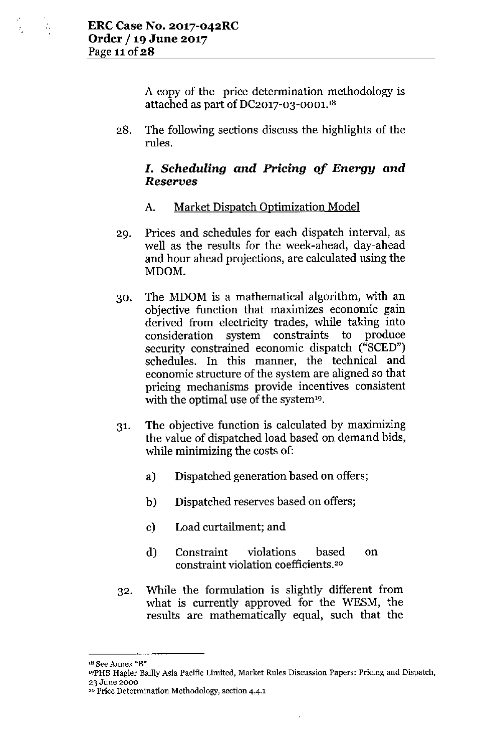$\bar{t}_1$ 

A copy of the price determination methodology is attached as part of DC2017-03-0001.'8

28. The following sections discuss the highlights of the rules.

# *1. Scheduling and Pricing of Energy and Reserves*

# A. Market Dispatch Optimization Model

- 29. Prices and schedules for each dispatch interval, as well as the results for the week-ahead, day-ahead and hour ahead projections, are calculated using the MDOM.
- 30. The MDOM is a mathematical algorithm, with an objective function that maximizes economic gain derived from electricity trades, while taking into consideration system constraints to produce security constrained economic dispatch ("SCED") schedules. In this manner, the technical and economic structure of the system are aligned so that pricing mechanisms provide incentives consistent with the optimal use of the system<sup>19</sup>.
- 31. The objective function is calculated by maximizing the value of dispatched load based on demand bids, while minimizing the costs of:
	- a) Dispatched generation based on offers;
	- b) Dispatched reserves based on offers;
	- c) Load curtailment; and
	- d) Constraint violations based constraint violation coefficients.'o on
- 32. While the formulation is slightly different from what is currently approved for the WESM, the results are mathematically equal, such that the

<sup>&#</sup>x27;8 See Annex "B"

<sup>19</sup>PHBHagler Bailly Asia Pacific Limited, Market Rules Discussion Papers: Pricing and Dispatch, 23 June 2000

<sup>20</sup> Price Determination Methodology, section 4.4.1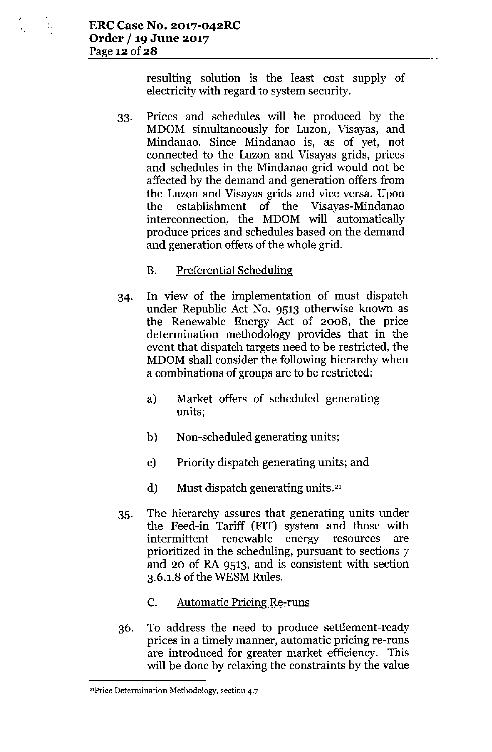$\mathcal{I}_\star$ 

resulting solution is the least cost supply of electricity with regard to system security.

- 33. Prices and schedules will be produced by the MDOM simultaneously for Luzon, Visayas, and Mindanao. Since Mindanao is, as of yet, not connected to the Luzon and Visayas grids, prices and schedules in the Mindanao grid would not be affected by the demand and generation offers from the Luzon and Visayas grids and vice versa. Upon the establishment of the Visayas-Mindanao interconnection, the MDOM will automatically produce prices and schedules based on the demand and generation offers of the whole grid.
	- B. Preferential Scheduling
- 34. In view of the implementation of must dispatch under Republic Act No. 9513 otherwise known as the Renewable Energy Act of 2008, the price determination methodology provides that in the event that dispatch targets need to be restricted, the MDOM shall consider the following hierarchy when a combinations of groups are to be restricted:
	- a) Market offers of scheduled generating **units;**
	- b) Non-scheduled generating units;
	- c) Priority dispatch generating units; and
	- d) Must dispatch generating units.<sup>21</sup>
- 35. The hierarchy assures that generating units under the Feed-in Tariff (FIT) system and those with intermittent renewable energy resources are prioritized in the scheduling, pursuant to sections 7 and 20 of RA 9513, and is consistent with section 3.6.1.8 of the WESM Rules.
	- c. Automatic Pricing Re-runs
- 36. To address the need to produce settlement-ready prices in a timely manner, automatic pricing re-runs are introduced for greater market efficiency. This will be done by relaxing the constraints by the value

**<sup>21</sup>Price Determination Methodology, section 4.7**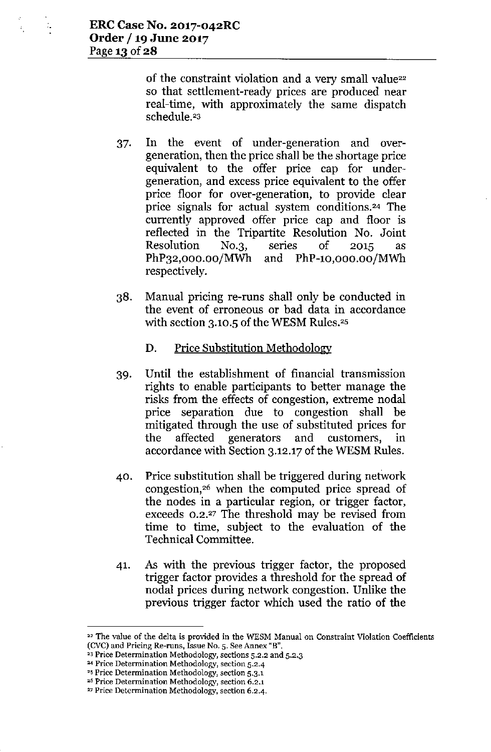$\ddot{\phantom{a}}$ 

of the constraint violation and a very small value<sup>22</sup> so that settlement-ready prices are produced near real-time, with approximately the same dispatch schedule.<sup>23</sup>

- 37. In the event of under-generation and overgeneration, then the price shall be the shortage price equivalent to the offer price cap for undergeneration, and excess price equivalent to the offer price floor for over-generation, to provide clear price signals for actual system conditions.<sup>24</sup> The currently approved offer price cap and floor is reflected in the Tripartite Resolution No. Joint Resolution NO.3, series of 2015 as PhP32,OOO.00/MWh and PhP-lO,OOO.oo/MWh respectively.
- 38. Manual pricing re-runs shall only be conducted in the event of erroneous or bad data in accordance with section  $3.10.5$  of the WESM Rules.<sup>25</sup>

### D. Price Substitution Methodology

- 39. Until the establishment of financial transmission rights to enable participants to better manage the risks from the effects of congestion, extreme nodal price separation due to congestion shall be mitigated through the use of substituted prices for the affected generators and customers, in accordance with Section 3.12.17 of the WESM Rules.
- 40. Price substitution shall be triggered during network congestion, $26$  when the computed price spread of the nodes in a particular region, or trigger factor, exceeds 0.2.<sup>27</sup> The threshold may be revised from time to time, subject to the evaluation of the Technical Committee.
- 41. As with the previous trigger factor, the proposed trigger factor provides a threshold for the spread of nodal prices during network congestion. Unlike the previous trigger factor which used the ratio of the

<sup>26</sup> Price Determination Methodology, section 6.2.1

<sup>22</sup> The value of the delta is provided in the WESM Manual on Constraint Violation Coefficients (CVC) and Pricing Re-runs, Issue No. 5. See Annex "B",

<sup>&</sup>lt;sup>23</sup> Price Determination Methodology, sections 5.2.2 and 5.2.3

<sup>24</sup> Price Determination Methodology, section 5.2.4

<sup>&</sup>lt;sup>25</sup> Price Determination Methodology, section 5.3.1

<sup>27</sup> Price Determination Methodology, section 6.2.4.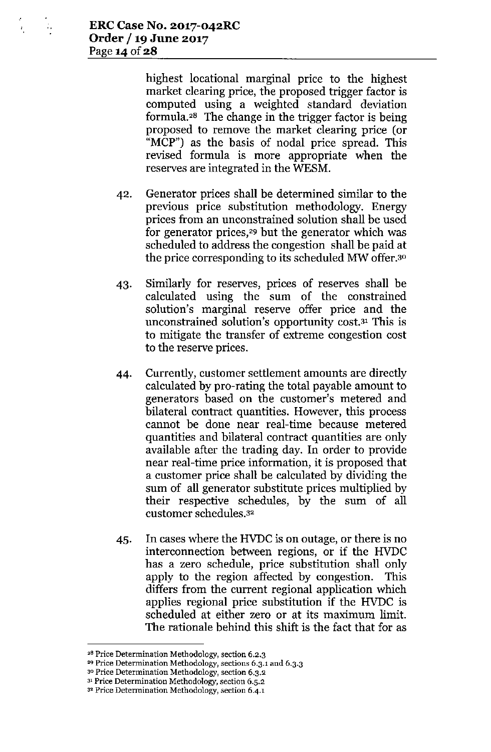$\mathbb{Z}_2$ 

X,

highest locational marginal price to the highest market clearing price, the proposed trigger factor is computed using a weighted standard deviation formula.<sup>28</sup> The change in the trigger factor is being proposed to remove the market clearing price (or "MCP") as the basis of nodal price spread. This revised formula is more appropriate when the reserves are integrated in the WESM.

- 42. Generator prices shall be determined similar to the previous price substitution methodology. Energy prices from an unconstrained solution shall be used for generator prices,<sup>29</sup> but the generator which was scheduled to address the congestion shall be paid at the price corresponding to its scheduled MW offer.<sup>30</sup>
- 43. Similarly for reserves, prices of reserves shall be calculated using the sum of the constrained solution's marginal reserve offer price and the unconstrained solution's opportunity cost.3' This is to mitigate the transfer of extreme congestion cost to the reserve prices.
- 44. Currently, customer settlement amounts are directly calculated by pro-rating the total payable amount to generators based on the customer's metered and bilateral contract quantities. However, this process cannot be done near real-time because metered quantities and bilateral contract quantities are only available after the trading day. **In** order to provide near real-time price information, it is proposed that a customer price shall be calculated by dividing the sum of all generator substitute prices multiplied by their respective schedules, by the sum of all customer schedules.3'
- 45. **In** cases where the HVDCis on outage, or there is no interconnection between regions, or if the HVDC has a zero schedule, price substitution shall only apply to the region affected by congestion. This differs from the current regional application which applies regional price substitution if the HVDC is scheduled at either zero or at its maximum limit. The rationale behind this shift is the fact that for as

**<sup>28</sup> Price Determination Methodology, section 6.2.3**

**<sup>29</sup> Price Determination Methodology, sections 6.3.1 and 6.3.3**

<sup>30</sup> **Price Determination Methodology, section 6.3.2**

**<sup>31</sup> Price Determination Methodology, section 6.5.2**

**<sup>3</sup> <sup>2</sup> Price Determination Methodology, section 6.4.1**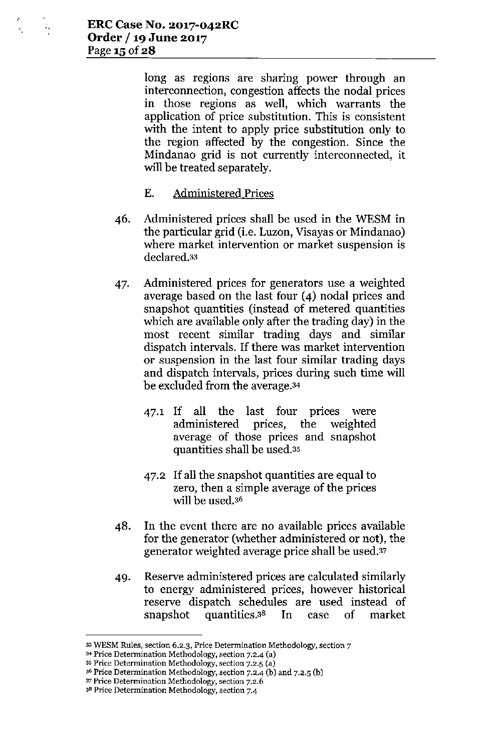long as regions are sharing power through an interconnection, congestion affects the nodal prices in those regions as well, which warrants the application of price substitution. This is consistent with the intent to apply price substitution only to the region affected by the congestion. Since the Mindanao grid is not currently interconnected, it will be treated separately.

## E. Administered Prices

- 46. Administered prices shall be used in the WESM in the particular grid (i.e. Luzon, Visayas or Mindanao) where market intervention or market suspension is declared.33
- 47. Administered prices for generators use a weighted average based on the last four (4) nodal prices and snapshot quantities (instead of metered quantities which are available only after the trading day) in the most recent similar trading days and similar dispatch intervals. If there was market intervention or suspension in the last four similar trading days and dispatch intervals, prices during such time will be excluded from the average.34
	- 47.1 If all the last four prices were administered prices, the weighted average of those prices and snapshot quantities shall be used.35
	- 47.2 If all the snapshot quantities are equal to zero, then a simple average of the prices will be used.36
- 48. In the event there are no available prices available for the generator (whether administered or not), the generator weighted average price shall be used.37
- 49. Reserve administered prices are calculated similarly to energy administered prices, however historical reserve dispatch schedules are used instead of snapshot quantities.3s In case of market

<sup>33</sup> **WESM Rules, section 6.2.3, Price Determination Methodology, section** 7

**<sup>34</sup> Price Determination Methodology, section 7.2.4 Ca)**

<sup>35</sup> **Price Determination Methodology, section 7.2.5 Ca)**

<sup>36</sup> **Price Determination Methodology, section 7.2.4 (b) and 7.2.5 (b)**

<sup>37</sup> **Price Determination Methodology, section 7.2.6**

**<sup>38</sup>Price Determination Methodology, section 7.4**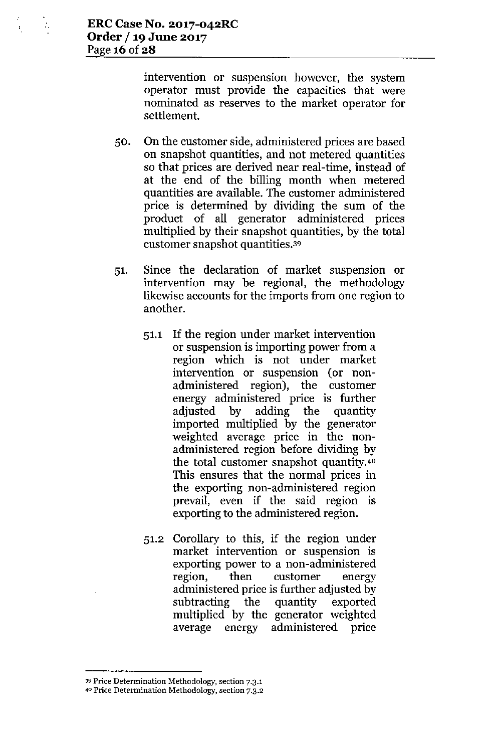÷.

intervention or suspension however, the system operator must provide the capacities that were nominated as reserves to the market operator for settlement.

- 50. On the customer side, administered prices are based on snapshot quantities, and not metered quantities so that prices are derived near real-time, instead of at the end of the billing month when metered quantities are available. The customer administered price is determined by dividing the sum of the product of all generator administered prices multiplied by their snapshot quantities, by the total customer snapshot quantities.<sup>39</sup>
- 51. Since the declaration of market suspension or intervention may be regional, the methodology likewise accounts for the imports from one region to another.
	- 51.1 If the region under market intervention or suspension is importing power from a region which is not under market intervention or suspension (or nonadministered region), the customer energy administered price is further adjusted by adding the quantity imported multiplied by the generator weighted average price in the nonadministered region before dividing by the total customer snapshot quantity.4<sup>0</sup> This ensures that the normal prices in the exporting non-administered region prevail, even if the said region is exporting to the administered region.
	- 51.2 Corollary to this, if the region under market intervention or suspension is exporting power to a non-administered region, then customer energy administered price is further adjusted by subtracting the quantity exported multiplied by the generator weighted average energy administered price

<sup>39</sup> **Price Determination Methodology, section 7.3.1**

**<sup>40</sup> Price Determination Methodology, section 7.3.2**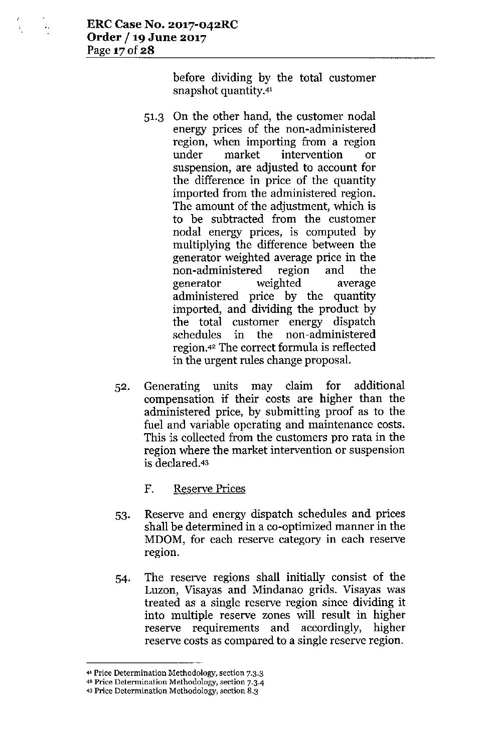ż,

before dividing by the total customer snapshot quantity.4'

- 51.3 On the other hand, the customer nodal energy prices of the non-administered region, when importing from a region under market intervention or suspension, are adjusted to account for the difference in price of the quantity imported from the administered region. The amount of the adjustment, which is to be subtracted from the customer nodal energy prices, is computed by multiplying the difference between the generator weighted average price in the non-administered region and the generator weighted average administered price by the quantity imported, and dividing the product by the total customer energy dispatch schedules in the non-administered region.42The correct formula is reflected in the urgent rules change proposaL
- 52. Generating units may claim for additional compensation if their costs are higher than the administered price, by submitting proof as to the fuel and variable operating and maintenance costs. This is collected from the customers pro rata in the region where the market intervention or suspension is declared.43
	- F. Reserve Prices
- 53. Reserve and energy dispatch schedules and prices shall be determined in a co-optimized manner in the MDOM, for each reserve category in each reserve region.
- 54. The reserve regions shall initially consist of the Luzon, Visayas and Mindanao grids. Visayas was treated as a single reserve region since dividing it into multiple reserve zones will result in higher reserve requirements and accordingly, higher reserve costs as compared to a single reserve region.

**<sup>.</sup>oj.l Price Determination Methodology, section 7.3.3**

**<sup>4</sup> 2 Price Determination Methodology, section 7.3.4**

**<sup>43</sup>Price Determination Methodology, section 8.3**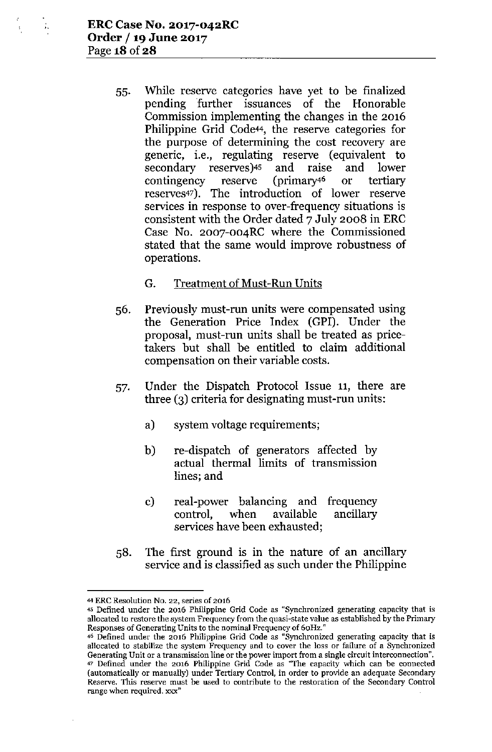55. While reserve categories have yet to be finalized pending further issuances of the Honorable Commission implementing the changes in the 2016 Philippine Grid Code<sup>44</sup>, the reserve categories for the purpose of determining the cost recovery are generic, i.e., regulating reserve (equivalent to secondary reserves)<sup>45</sup> and raise and lower<br>contingency reserve (primary<sup>46</sup> or tertiary contingency reserve (primary4<sup>6</sup> or tertiary reserves47). The introduction of lower reserve services in response to over-frequency situations is consistent with the Order dated 7 July 2008 in ERC Case No. 2007-004RC where the Commissioned stated that the same would improve robustness of operations.

### G. Treatment of Must-Run Units

- 56. Previously must-run units were compensated using the Generation Price Index (GPI). Under the proposal, must-run units shall be treated as pricetakers but shall be entitled to claim additional compensation on their variable costs.
- 57. Under the Dispatch Protocol Issue 11, there are three (3) criteria for designating must-run units:
	- a) system voltage requirements;
	- b) re-dispatch of generators affected by actual thermal limits of transmission lines; and
	- c) real-power balancing and frequency control, when available ancillary services have been exhausted;
- 58. The first ground is in the nature of an ancillary service and is classified as such under the Philippine

<sup>44</sup> ERC Resolution No. 22, series of 2016

<sup>45</sup> Defined under the 2016 Philippine Grid Code as "Synchronized generating capacity that is allocated to restore the system Frequency from the quasi-state value as established by the Primary Responses of Generating Units to the nominal Frequency of 60Hz."

<sup>46</sup> Defined under the 2016 Philippine Grid Code as "Synchronized generating capacity that is allocated to stabilize the system Frequency and to cover the loss or failure of a Synchronize Generating Unit or a transmission line or the power import from a single circuit interconnection". <sup>47</sup> Defined under the 2016 Philippine Grid Code as "The capacity which can be connected (automatically or manually) under Tertiary Control, in order to provide an adequate Secondary Reserve, This reserve must be used to contribute to the restoration of the Secondary Control range when required. xxx"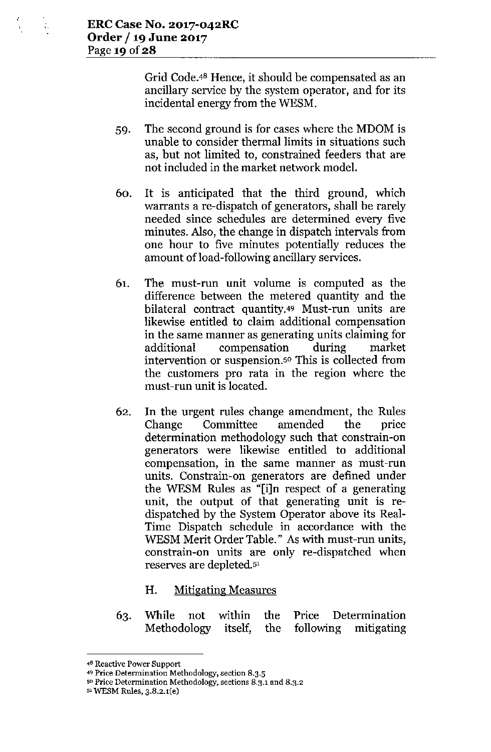Grid Code.<sup>48</sup> Hence, it should be compensated as an ancillary service by the system operator, and for its incidental energy from the WESM.

- 59. The second ground is for cases where the MDOM is unable to consider thermal limits in situations such as, but not limited to, constrained feeders that are not included in the market network model.
- 60. It is anticipated that the third ground, which warrants a re-dispatch of generators, shall be rarely needed since schedules are determined every five minutes. Also, the change in dispatch intervals from one hour to five minutes potentially reduces the amount of load-following ancillary services.
- 61. The must-run unit volume is computed as the difference between the metered quantity and the bilateral contract quantity.49 Must-run units are likewise entitled to claim additional compensation in the same manner as generating units claiming for additional compensation during market intervention or suspension.<sup>50</sup> This is collected from the customers pro rata in the region where the must-run unit is located.
- 62. In the urgent rules change amendment, the Rules Change Committee amended the price determination methodology such that constrain-on generators were likewise entitled to additional compensation, in the same manner as must-run units. Constrain-on generators are defined under the WESM Rules as "[i]n respect of a generating unit, the output of that generating unit is redispatched by the System Operator above its Real-Time Dispatch schedule in accordance with the WESM Merit Order Table." As with must-run units, constrain-on units are only re-dispatched when reserves are depleted.5'
	- H. Mitigating Measures
- While not within the Price Determination 63. Methodology itself, following mitigating the

<sup>4</sup>B Reactive Power Support

<sup>49</sup> Price Determination Methodology, section 8.3.5

<sup>50</sup> Price Determination Methodology, sections 8.3.1 and 8.3.2

<sup>51</sup> WESM Rules, 3.8.2.1(e)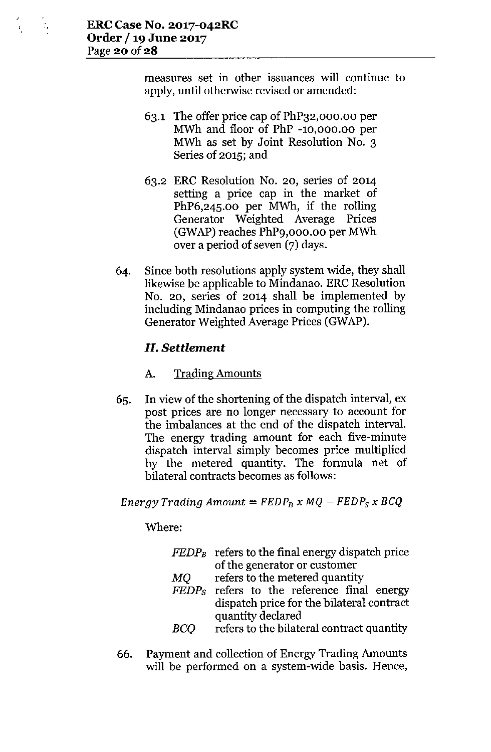measures set in other issuances will continue to apply, until otherwise revised or amended:

- 63.1 The offer price cap of PhP32,000.00 per MWh and floor of PhP -10,000.00 per MWh as set by Joint Resolution No. 3 Series of 2015; and
- 63.2 ERC Resolution No. 20, series of 2014 setting a price cap in the market of PhP6,245.00 per MWh, if the rolling Generator Weighted Average Prices (GWAP) reaches PhP9,000.00 per MWh over a period of seven (7) days.
- 64. Since both resolutions apply system wide, they shall likewise be applicable to Mindanao. ERC Resolution No. 20, series of 2014 shall be implemented by including Mindanao prices in computing the rolling Generator Weighted Average Prices (GWAP).

## *II. Settlement*

### A. Trading Amounts

65. In view of the shortening of the dispatch interval, ex post prices are no longer necessary to account for the imbalances at the end of the dispatch interval. The energy trading amount for each five-minute dispatch interval simply becomes price multiplied by the metered quantity. The formula net of bilateral contracts becomes as follows:

*Energy Trading Amount* =  $FEDP_B \times MQ - FEDP_S \times BCQ$ 

#### Where:

|    | $FEDP_B$ refers to the final energy dispatch price |  |  |
|----|----------------------------------------------------|--|--|
|    | of the generator or customer                       |  |  |
| MO | refers to the metered quantity                     |  |  |
|    | FEDPs refers to the reference final energy         |  |  |
|    | dispatch price for the bilateral contract          |  |  |
|    | quantity declared                                  |  |  |
|    | refers to the bilateral contract quantity          |  |  |

66. Payment and collection of Energy Trading Amounts will be performed on a system-wide basis. Hence,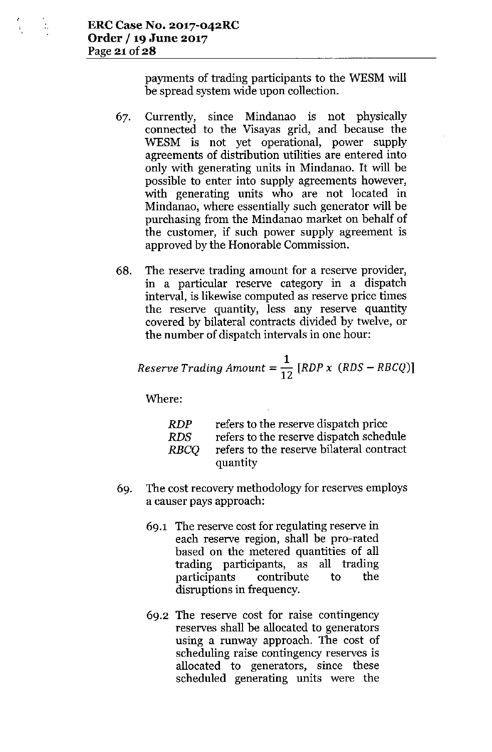payments of trading participants to the WESM will be spread system wide upon collection.

- 67. Currently, since Mindanao is not physically connected to the Visayas grid, and because the WESM is not yet operational, power supply agreements of distribution utilities are entered into only with generating units in Mindanao. It will be possible to enter into supply agreements however, with generating units who are not located in Mindanao, where essentially such generator will be purchasing from the Mindanao market on behalf of the customer, if such power supply agreement is approved by the Honorable Commission.
- 68. The reserve trading amount for a reserve provider, in a particular reserve category in a dispatch interval, is likewise computed as reserve price times the reserve quantity, less any reserve quantity covered by bilateral contracts divided by twelve, or the number of dispatch intervals in one hour:

$$
Reserve\ Trading\ Amount = \frac{1}{12}\ [RDP\ x\ (RDS - RBCQ)]
$$

Where:

| RDP  | refers to the reserve dispatch price     |
|------|------------------------------------------|
| RDS. | refers to the reserve dispatch schedule  |
| RBCO | refers to the reserve bilateral contract |
|      | quantity                                 |

- 69. The cost recovery methodology for reserves employs a causer pays approach:
	- 69.1 The reserve cost for regulating reserve in each reserve region, shall be pro-rated based on the metered quantities of all trading participants, as all trading participants contribute to the disruptions in frequency.
	- 69.2 The reserve cost for raise contingency reserves shall be allocated to generators using a runway approach. The cost of scheduling raise contingency reserves is allocated to generators, since these scheduled generating units were the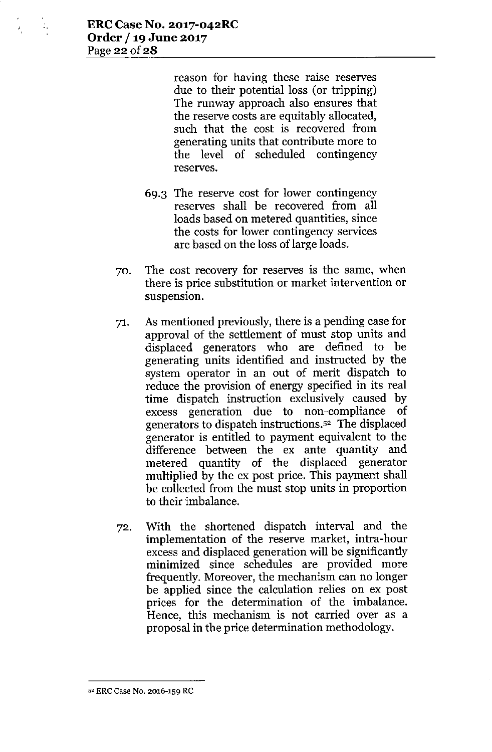$\mathcal{I}_\mathrm{c}$ 

reason for having these raise reserves due to their potential loss (or tripping) The runway approach also ensures that the reserve costs are equitably allocated, such that the cost is recovered from generating units that contribute more to the level of scheduled contingency reserves.

- 69.3 The reserve cost for lower contingency reserves shall be recovered from all loads based on metered quantities, since the costs for lower contingency services are based on the loss of large loads.
- 70. The cost recovery for reserves is the same, when there is price substitution or market intervention or suspension.
- 71. As mentioned previously, there is a pending case for approval of the settlement of must stop units and displaced generators who are defined to be generating units identified and instructed by the system operator in an out of merit dispatch to reduce the provision of energy specified in its real time dispatch instruction exclusively caused by excess generation due to non-compliance of generators to dispatch instructions.<sup>52</sup> The displaced generator is entitled to payment equivalent to the difference between the ex ante quantity and metered quantity of the displaced generator multiplied by the ex post price. This payment shall be collected from the must stop units in proportion to their imbalance.
- 72. With the shortened dispatch interval and the implementation of the reserve market, intra-hour excess and displaced generation will be significantly minimized since schedules are provided more frequently. Moreover, the mechanism can no longer be applied since the calculation relies on ex post prices for the determination of the imbalance. Hence, this mechanism is not carried over as a proposal in the price determination methodology.

**<sup>52</sup> ERe Case No. 2016-159 RC**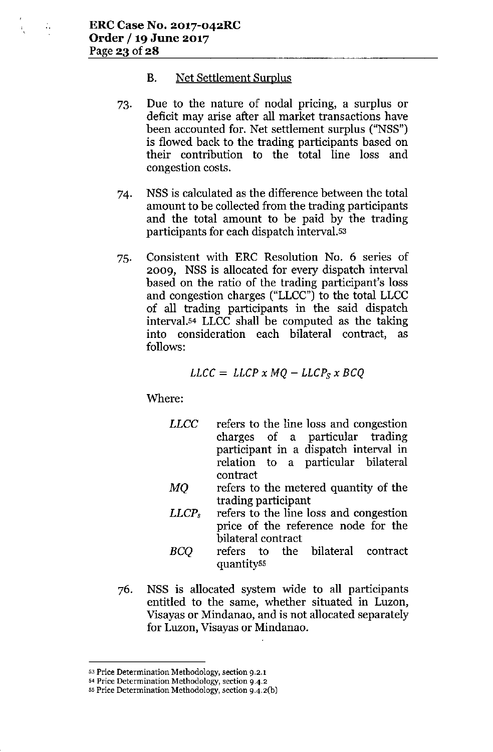Ŵ,

#### **B.** Net Settlement Surplus

- 73. Due to the nature of nodal pricing, a surplus or deficit may arise after all market transactions have been accounted for. Net settlement surplus ("NSS") is flowed back to the trading participants based on their contribution to the total line loss and congestion costs.
- 74. NSS is calculated as the difference between the total amount to be collected from the trading participants and the total amount to be paid by the trading participants for each dispatch interval.<sup>53</sup>
- 75. Consistent with ERC Resolution No. 6 series of 2009, NSS is allocated for every dispatch interval based on the ratio of the trading participant's loss and congestion charges ("LLCC") to the total LLCC of all trading participants in the said dispatch interval.<sup>54</sup> LLCC shall be computed as the taking into consideration each bilateral contract, as follows:

$$
LLCC = LLCP \times MQ - LLCP_S \times BCQ
$$

Where:

- *LLCC* refers to the line loss and congestion charges of a particular trading participant in a dispatch interval in relation to a particular bilateral contract
- MQ refers to the metered quantity of the trading participant
- *LLCP,* refers to the line loss and congestion price of the reference node for the bilateral contract
- *BCQ* refers to the bilateral contract quantity55
- 76. NSS is allocated system wide to all participants entitled to the same, whether situated in Luzon, Visayas or Mindanao, and is not allocated separately for Luzon, Visayas or Mindanao.

<sup>53</sup> **Price Determination Methodology, section 9.2.1**

**<sup>54</sup> Price Determination Methodology, section 9-4.2**

<sup>55</sup> **Price Determination Methodology, section** *9A.2(b)*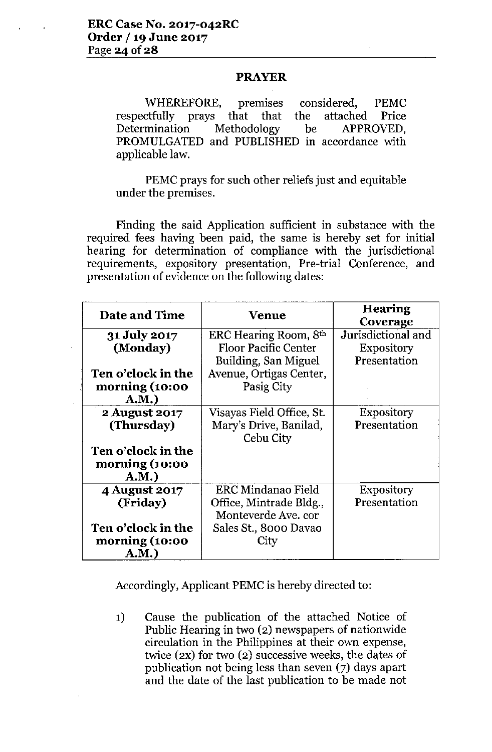### PRAYER

WHEREFORE, premises considered, PEMC respectfully prays that that the attached Price Determination Methodology be APPROVED, PROMULGATED and PUBLISHED in accordance with applicable law.

PEMC prays for such other reliefs just and equitable under the premises.

Finding the said Application sufficient in substance with the required fees having been paid, the same is hereby set for initial hearing for determination of compliance with the jurisdictional requirements, expository presentation, Pre-trial Conference, and presentation of evidence on the following dates:

| Date and Time      | Venue                       | <b>Hearing</b><br>Coverage |
|--------------------|-----------------------------|----------------------------|
| 31 July 2017       | ERC Hearing Room, 8th       | Jurisdictional and         |
| (Monday)           | <b>Floor Pacific Center</b> | Expository                 |
|                    | Building, San Miguel        | Presentation               |
| Ten o'clock in the | Avenue, Ortigas Center,     |                            |
| morning (10:00     | Pasig City                  |                            |
| A.M.               |                             |                            |
| 2 August 2017      | Visayas Field Office, St.   | <b>Expository</b>          |
| (Thursday)         | Mary's Drive, Banilad,      | Presentation               |
|                    | Cebu City                   |                            |
| Ten o'clock in the |                             |                            |
| morning (10:00     |                             |                            |
| A.M.)              |                             |                            |
| 4 August 2017      | ERC Mindanao Field          | <b>Expository</b>          |
| (Friday)           | Office, Mintrade Bldg.,     | Presentation               |
|                    | Monteverde Ave. cor         |                            |
| Ten o'clock in the | Sales St., 8000 Davao       |                            |
| morning (10:00     | Citv                        |                            |
| A.M.)              |                             |                            |

Accordingly, Applicant PEMC is hereby directed to:

1) Cause the publication of the attached Notice of Public Hearing in two (2) newspapers of nationwide circulation in the Philippines at their own expense, twice (2X) for two (2) successive weeks, the dates of publication not being less than seven (7) days apart and the date of the last publication to be made not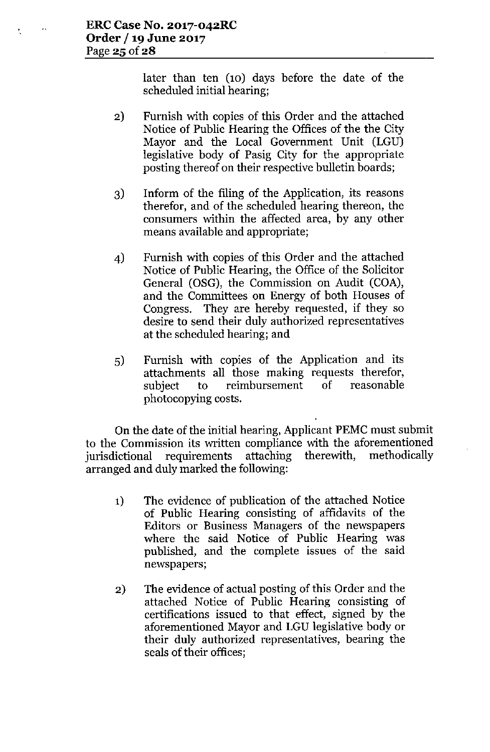$\mathbf{A}$ 

t.

later than ten (10) days before the date of the scheduled initial hearing;

- 2) Furnish with copies of this Order and the attached Notice of Public Hearing the Offices of the the City Mayor and the Local Government Unit (LGU) legislative body of Pasig City for the appropriate posting thereof on their respective bulletin boards;
- 3) Inform of the filing of the Application, its reasons therefor, and of the scheduled hearing thereon, the consumers within the affected area, by any other means available and appropriate;
- 4) Furnish with copies of this Order and the attached Notice of Public Hearing, the Office of the Solicitor General (OSG), the Commission on Audit (COA), and the Committees on Energy of both Houses of Congress. They are hereby requested, if they so desire to send their duly authorized representatives at the scheduled hearing; and
- 5) Furnish with copies of the Application and its attachments all those making requests therefor, subject to reimbursement of reasonable photocopying costs.

On the date of the initial hearing, Applicant PEMC must submit to the Commission its written compliance with the aforementioned jurisdictional requirements attaching therewith, methodically arranged and duly marked the following:

- 1) The evidence of publication of the attached Notice of Public Hearing consisting of affidavits of the Editors or Business Managers of the newspapers where the said Notice of Public Hearing was published, and the complete issues of the said newspapers;
- 2) The evidence of actual posting of this Order and the attached Notice of Public Hearing consisting of certifications issued to that effect, signed by the aforementioned Mayor and LGU legislative body or their duly authorized representatives, bearing the seals of their offices;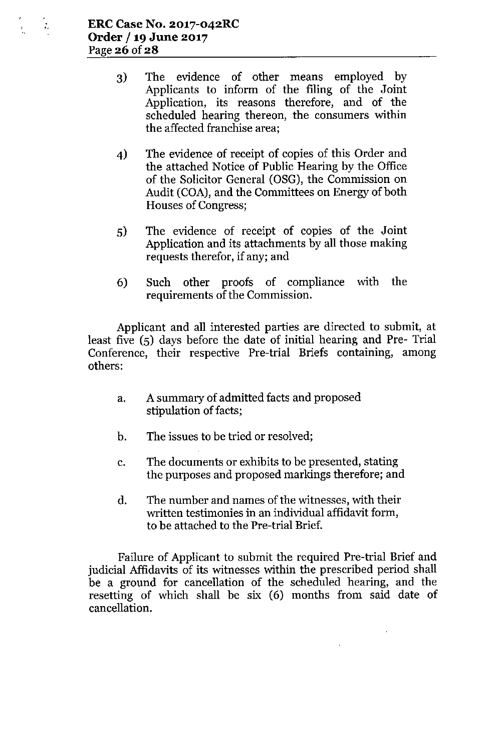- 3) The evidence of other means employed by Applicants to inform of the filing of the Joint Application, its reasons therefore, and of the scheduled hearing thereon, the consumers within the affected franchise area;
- 4) The evidence of receipt of copies of this Order and the attached Notice of Public Hearing by the Office of the Solicitor General (OSG), the Commission on Audit (COA), and the Committees on Energy of both Houses of Congress;
- 5) The evidence of receipt of copies of the Joint Application and its attachments by all those making requests therefor, if any; and
- 6) Such other proofs of compliance with the requirements of the Commission.

Applicant and all interested parties are directed to submit, at least five (5) days before the date of initial hearing and Pre- Trial Conference, their respective Pre-trial Briefs containing, among others:

- a. A summary of admitted facts and proposed stipulation of facts;
- b. The issues to be tried or resolved;
- c. The documents or exhibits to be presented, stating the purposes and proposed markings therefore; and
- d. The number and names of the witnesses, with their written testimonies in an individual affidavit form, to be attached to the Pre-trial Brief.

Failure of Applicant to submit the required Pre-trial Brief and judicial Affidavits of its witnesses within the prescribed period shall be a ground for cancellation of the scheduled hearing, and the resetting of which shall be six (6) months from said date of cancellation.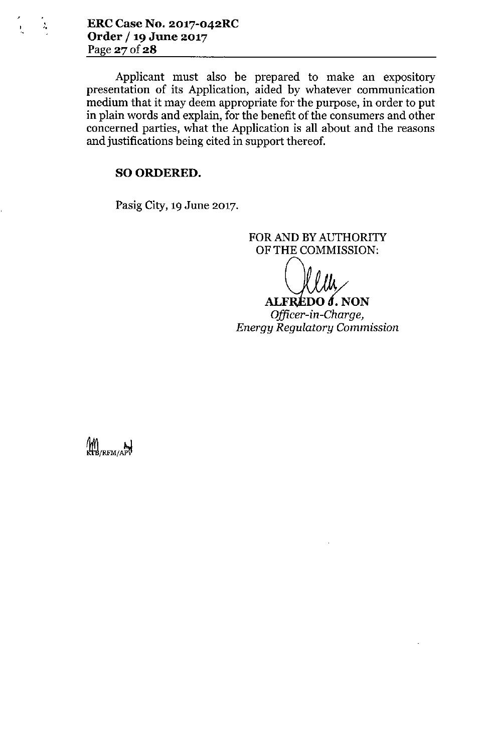*J.* **ERCCase No. 2017-042RC Order /19 June 2017** Page 27 of 28

Ł

Applicant must also be prepared to make an expository presentation of its Application, aided by whatever communication medium that it may deem appropriate for the purpose, in order to put in plain words and explain, for the benefit of the consumers and other concerned parties, what the Application is all about and the reasons and justifications being cited in support thereof.

#### SO ORDERED.

Pasig City, 19 June 2017.

FOR AND BY AUTHORITY OF THE COMMISSION:

**ALFREDO** *d*. NON *Officer-in-Charge, Energy Regulatory Commission*

M<br>KB/RFM/APV